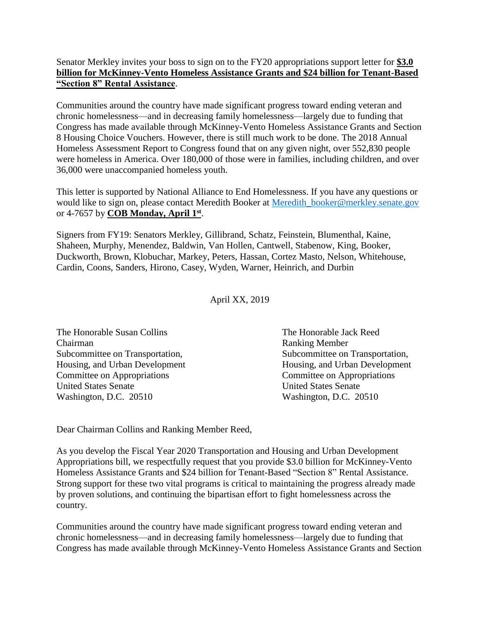## Senator Merkley invites your boss to sign on to the FY20 appropriations support letter for **\$3.0 billion for McKinney-Vento Homeless Assistance Grants and \$24 billion for Tenant-Based "Section 8" Rental Assistance**.

Communities around the country have made significant progress toward ending veteran and chronic homelessness—and in decreasing family homelessness—largely due to funding that Congress has made available through McKinney-Vento Homeless Assistance Grants and Section 8 Housing Choice Vouchers. However, there is still much work to be done. The 2018 Annual Homeless Assessment Report to Congress found that on any given night, over 552,830 people were homeless in America. Over 180,000 of those were in families, including children, and over 36,000 were unaccompanied homeless youth.

This letter is supported by National Alliance to End Homelessness. If you have any questions or would like to sign on, please contact Meredith Booker at [Meredith\\_booker@merkley.senate.gov](mailto:Meredith_booker@merkley.senate.gov) or 4-7657 by **COB Monday, April 1st** .

Signers from FY19: Senators Merkley, Gillibrand, Schatz, Feinstein, Blumenthal, Kaine, Shaheen, Murphy, Menendez, Baldwin, Van Hollen, Cantwell, Stabenow, King, Booker, Duckworth, Brown, Klobuchar, Markey, Peters, Hassan, Cortez Masto, Nelson, Whitehouse, Cardin, Coons, Sanders, Hirono, Casey, Wyden, Warner, Heinrich, and Durbin

April XX, 2019

| The Honorable Susan Collins     | The Honorable Jack Reed         |
|---------------------------------|---------------------------------|
| Chairman                        | <b>Ranking Member</b>           |
| Subcommittee on Transportation, | Subcommittee on Transportation, |
| Housing, and Urban Development  | Housing, and Urban Development  |
| Committee on Appropriations     | Committee on Appropriations     |
| <b>United States Senate</b>     | <b>United States Senate</b>     |
| Washington, D.C. 20510          | Washington, D.C. 20510          |

Dear Chairman Collins and Ranking Member Reed,

As you develop the Fiscal Year 2020 Transportation and Housing and Urban Development Appropriations bill, we respectfully request that you provide \$3.0 billion for McKinney-Vento Homeless Assistance Grants and \$24 billion for Tenant-Based "Section 8" Rental Assistance. Strong support for these two vital programs is critical to maintaining the progress already made by proven solutions, and continuing the bipartisan effort to fight homelessness across the country.

Communities around the country have made significant progress toward ending veteran and chronic homelessness—and in decreasing family homelessness—largely due to funding that Congress has made available through McKinney-Vento Homeless Assistance Grants and Section